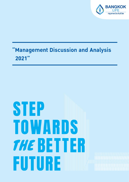

# **Management Discussion and Analysis** 2021"

# STEP TOWARDS **THE BETTER** FUTURE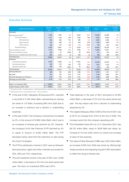Consolidated Baht, million

# **Executive Summary**

|         |         |        |         |         |        |        | Consolidated Dani, million |
|---------|---------|--------|---------|---------|--------|--------|----------------------------|
| Quarter | Quarter | Change | Quarter | Change  | 2021   | 2020   | Change                     |
|         |         |        |         |         |        |        | YoY%                       |
|         |         |        |         |         |        |        |                            |
| 7,546   | 7,765   | $-2.8$ | 9,523   | $-20.8$ | 33,992 | 33,396 | 1.8                        |
| 1,611   | 1,194   | 34.9   | 1,380   | 16.8    | 6,262  | 6,550  | $-4.4$                     |
| 839     | 482     | 74.1   | 863     | $-2.8$  | 3,654  | 4,228  | $-13.6$                    |
| 524     | 498     | 5.3    | 404     | 29.8    | 1,829  | 1,699  | 7.6                        |
| 248     | 215     | 15.4   | 113     | 119.9   | 780    | 623    | 25.2                       |
| 6,385   | 6,851   | $-6.8$ | 8,339   | $-23.4$ | 29,455 | 28,195 | 4.5                        |
| 3,153   | 2,788   | 13.1   | 3,490   | $-9.7$  | 13,006 | 13,251 | $-1.9$                     |
| 229     | 67      | 239.8  | 95      | 140.2   | 671    | 432    | 55.4                       |
| (65)    | (213)   | na     | 303     | na      | 499    | 258    | 93.8                       |
| 10,862  | 10,407  | 4.4    | 13,411  | $-19.0$ | 48,169 | 47,337 | 1.8                        |
|         |         |        |         |         |        |        |                            |
| 9,679   | 9,706   | $-0.3$ | 11,557  | $-16.2$ | 42,286 | 43,703 | $-3.2$                     |
| 469     | 379     | 23.5   | 425     | 10.3    | 1,647  | 1,534  | 7.4                        |
| 385     | 128     | 202.2  | 44      | 784.2   | 472    | 339    | 39.1                       |
| 10,533  | 10,213  | 3.1    | 12,025  | $-12.4$ | 44,405 | 45,576 | $-2.6$                     |
| 329     | 194     | 69.5   | 1,386   | $-76.3$ | 3,764  | 1,761  | 113.7                      |
| 274     | 164     | 67.6   | 1,181   | $-76.8$ | 3,196  | 1,608  | 98.7                       |
| 274     | 164     | 67.6   | 1,181   | $-76.8$ | 3,196  | 1,608  | 98.7                       |
| 0.16    | 0.10    | 67.2   | 0.69    | $-76.7$ | 1.87   | 0.94   | 98.9                       |
|         |         |        |         |         |        |        |                            |
| 3.78%   | 3.44%   | 0.3%   | 4.21%   | $-0.4%$ | 3.97%  | 4.14%  | $-0.2%$                    |
| 301%    | 274%    | 27%    | 299%    | 2%      | 301%   | 274%   | 27%                        |
|         | 4/21    | 4/20   | YoY%    | 3/21    | QoQ%   |        |                            |

(1) Net premiums written = first year premiums + renewal year premiums - premiums ceded ± unearned premium reserves

 $\alpha^{(2)}$  Total investment income = Net investment income + Gain on investment

- In the year of 2021, Bangkok Life Assurance PCL. reported a net profit of 3,196 million Baht, representing an earning per share of 1.87 Baht, increasing 99% from 2020 due to an increase in premium and a decline in underwriting expenses.
- In the year of 2021, the Company's net premium increased by 2%, or the amount of 33,992 million Baht, which due to an increased of renewal year premium by 5%. However, the company's First Year Premium (FYP) declined by 4% or equal to amount of 6,262 million Baht. The FYP decrease mainly came from the restriction on sale during the Covid-19 situation.
- The FYP by distribution channel in 2021 were as followed: bancassurance, agent and other channels accounted for 58%, 29% and 12%, respectively.
- The net investment income in the year of 2021 was 13,006 million Baht, a decrease of 2% from the same period last year. The return on investment (ROI) was 3.97%.
- Total expenses in the year of 2021 amounted to 44,405 million Baht, a decrease of 3% from the same period last year. The key reason was from a decline of underwriting expenses by 3%.
- The Capital Adequacy Ratio (CAR) at the end of 2021 was at 301% an increase from 274% at the end of 2020. The increase came from the company operating profit.
- The Embedded Value (EV) as of 31 December 2021 was 68,152 million Baht, equal to 39.95 Baht per share, an increase of 1% from 2020, which is a result of an increase of value of new business.
- The Value of New Business (VNB) was 2,250 million Baht, an increase of 95% from 2020 was driven by offering high margin products and adjusting long-term ROI assumption to reflect the rising of interest rate.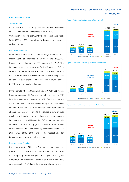# **Management's Discussion and Analysis for 2021 25th February 2022**

#### **Performance Overview**

#### **Total Premium**

In the year of 2021, the Company's total premium amounted to 35,717 million Baht, an increase of 3% from 2020. Contribution of the total premium by distribution channel were:

56%, 38% and 6%, respectively for bancassurance, agent and other channel.

#### **First Year Premium**

In the fourth quarter of 2021, the Company's FYP was 1,611 million Baht, an increase of 35%YoY and 17%QoQ. Bancassurance channel saw FYP increasing 74%YoY. The increase came from the ease of Covid-19 situation. FYP in agency channel, an increase of 5%YoY and 30%QoQ as a result of the launch of unit-linked products and adjusting sales strategy.For other channel, FYP increased by 15%YoY driven by FYP growth from online channel.

In the year of 2021, the Company had an FYP of 6,252 million Baht, a decrease of 4%YoY was due to the decrease of FYP from bancassurance channels by 14%. The mainly reason came from restrictions on selling through bancassurance channel during the Covid-19 situation. FYP from agency channel increase by 8% due to the release of new product which are well received by the customers and more focus on health rider and critical illness rider. FYP from other channels increase by 25% driven by growth in group insurance and online channel. The contribution by distribution channel in 2021 was 58%, 29% and 11% respectively for bancassurance, agent and other channel.

#### **Renewal Year Premium**

In the fourth quarter of 2021, the Company had a renewal year premium of 6,385 million Baht, a decrease of 7%YoY due to the fully-paid products this year. In the year of 2021, the Company had a renewal year premium of 29,455 million Baht, an increase of 4%YoY due to the changing of product mix.









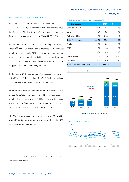#### **Investment Asset and Investment Return**

In the year of 2021, the Company's total investment asset was 338,714 million Baht, an increase of 8,504 million Baht, equal to 3% from 2021. The Company's investment proportion in fixed income was at 82%, equity at 9% and REIT at 5%.

In the fourth quarter of 2021, the Company's investment income  $^{\scriptscriptstyle{(3)}}$  was 3,204 million Baht, a decrease of 10% from last quarter but increasing by13% from the same period last year with the increase from higher dividend income and realized gain. Excluding realized gain, interest and dividend income dropped 8%QoQ but increasing by 2%YoY.

In the year of 2021, the Company's investment income was 1 3,336 million Baht, a decline of 2%YoY. Excluding realized gain, interest and dividend income dropped 1%YoY.

In the fourth quarter of 2021, the return on investment (ROI) equals to 3.78%, decreasing from 4.21% in the previous quarter, but increasing from 3.44% in the previous year. Investment yield (including interest and dividend income) was at 3.50%, declining 3 bps YoY and 32 bps QoQ.

The Company's average return on investment (ROI) in 2021 was 3.97%, decreasing from an average of 4.14% in 2020, based on investment condition.

#### **Table 1: Investment Assets as of 31 December 2021**

| <b>Investment assets</b>     | 2021    | 2020    | Change   |
|------------------------------|---------|---------|----------|
| Short-term investment        | 2.3%    | 2.4%    | $-0.1%$  |
| <b>Bond</b>                  | 48.0%   | 49.4%   | $-1.4\%$ |
| Debenture & Note             | 32.0%   | 31.6%   | 0.4%     |
| <b>Total Fixed income</b>    | 82.3%   | 83.4%   | $-1.1%$  |
| Equity                       | $9.2\%$ | 8.4%    | 0.8%     |
| <b>RFIT</b>                  | 5.0%    | 4.8%    | $0.2\%$  |
| Loan                         | 3.5%    | 3.4%    | 0.1%     |
| - Policy Loans               | 2.8%    | 2.9%    | $-0.1%$  |
| - Secured Loans              | 0.7%    | 0.5%    | $0.2\%$  |
| Total Investment assets (MB) | 338,714 | 330,210 | 2.6%     |







**(3) Interest income + Dividend + Profit (Loss) from Investment, all before investment** 

**expenses and special business taxes**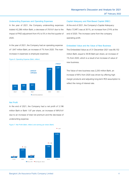#### **Underwriting Expenses and Operating Expenses**

In the year of 2021, the Company underwriting expenses totaled 42,286 million Baht, a decrease of 3%YoY due to the impact of PAD adjustment from 4% to 5% in the first quarter of 2020.

In the year of 2021, the Company had an operating expense of 1,647 million Baht, an increase of 7% from 2020. The main increase in expenses is employee expenses



#### **Figure 6: Operating Expense (Baht, million)**

#### **Net Profit**

In the end of 2021, the Company had a net profit of 3,196 million Baht or Baht 1.87 per share, an increase of 99%YoY due to an increase of total net premium and the decrease of underwriting expense.





#### **Capital Adequacy and Risk-Based Capital (RBC)**

At the end of 2021, the Company's Capital Adequacy Ratio ("CAR") was at 301%, an increase from 274% at the end of 2020. The increase came from the company operating profit.

#### **Embedded Value and the Value of New Business**

The Embedded Value as of 31 December 2021 was 68,152 million Baht, equal to 39.95 Baht per share, an increase of 1% from 2020, which is a result of an increase of value of new business.

The Value of new business was 2,250 million Baht, an increase of 95% from 2020 was driven by offering high margin products and adjusting long-term ROI assumption to reflect the rising of interest rate.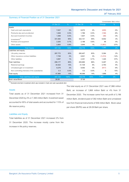### **Summary of Financial Position as of 31 December 2021**

Condolidated Baht, million

|                                               | 31 Dec 21 | $\%$ | 31 Dec 20 | $\%$ | Change  | $\%$   |
|-----------------------------------------------|-----------|------|-----------|------|---------|--------|
| Assets                                        |           |      |           |      |         |        |
| Cash and cash equivalents                     | 7,637     | 2%   | 8,072     | 2%   | (435)   | $-5%$  |
| Premiums due and uncollected                  | 1,648     | 0.5% | 1,786     | 0.5% | (138)   | $-8%$  |
| Accrued investment incomes                    | 1,599     | 0.5% | 1,647     | 0.5% | (48)    | $-3%$  |
| $Investments^{(4)}$                           | 331,083   | 95%  | 322,141   | 95%  | 8,942   | 3%     |
| Premises and equipment                        | 2,283     | 0.7% | 2,188     | 0.6% | 95      | 4%     |
| Other assets                                  | 2,893     | 0.8% | 3,944     | 1%   | (1,051) | $-27%$ |
| <b>Total Assets</b>                           | 347.143   | 100% | 339.778   | 100% | 7,365   | 2%     |
| Liabilities and equity                        |           |      |           |      |         |        |
| Life policy reserves                          | 287,772   | 83%  | 282,407   | 83%  | 5,364   | 2%     |
| Other insurance contract liabilities          | 7.708     | 2%   | 8,921     | 3%   | (1,213) | $-14%$ |
| Other liabilities                             | 3.697     | 1%   | 2.351     | 0.7% | 1.345   | 57%    |
| Total liabilities                             | 299,177   | 86%  | 293,680   | 86%  | 5,497   | 2%     |
| Retained earnings                             | 34,522    | 10%  | 31,729    | 9%   | 2.793   | 9%     |
| Unrealized gain on investment                 | 8,276     | 2%   | 9,092     | 3%   | (817)   | $-9%$  |
| Non-controlling interests of the subsidiaries | 0.3       | 0.0% | 0.2       | 0.0% | 0       | 15%    |
| Total equity                                  | 47,966    | 14%  | 46,098    | 14%  | 1,868   | 4%     |
| <b>Total liabilities and equity</b>           | 347,143   | 100% | 339,778   | 100% | 7,365   | 2%     |
| Book value/Share                              | 28.09     |      | 27.00     |      |         |        |

**(4) Excluded short-term investment which was included in Cash and cash equivalents item**

#### **Assets**

Total assets as of 31 December 2021 increased from 31 December 2020 by 2% or 7,365million Baht. Investment asset accounted for 95% of total assets and accounted for 115% of life reserve policy.

The total equity as of 31 December 2021 was 47,966 million Baht, an increase of 1,868 million Baht or 4% from 31 December 2020. The increase came from net profit of 3,196 million Baht, dividend paid of 392 million Bahtand unrealized lossfrom financial instruments of 936 million Baht. Book value per share (BVPS) was at 28.09 Baht per share.

#### **Liabilities and Equity**

Total liabilities as of 31 December 2021 increased 2% from 31 December 2020. The increase mostly came from the increase in life policy reserves.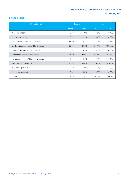# **Financial Ratios**

| <b>Financial ratio</b>                  | Quarter  |           | Year   |         |
|-----------------------------------------|----------|-----------|--------|---------|
|                                         | 4Q21     | 4Q20      | 2021   | 2020    |
| NI / Total income                       | 2.5%     | 1.6%      | 6.6%   | $3.4\%$ |
| NI / Net premium                        | 3.7%     | 2.1%      | 9.4%   | 4.8%    |
| Life policy reserve / Net premium       | $-33.5%$ | $-73.2\%$ | 15.7%  | 14.7%   |
| Underwriting expenses / Net premium     | 130.0%   | 124.4%    | 124.1% | 130.7%  |
| Operating expenses / Net premium        | 6.3%     | 4.9%      | 4.8%   | 4.6%    |
| Investment assets / Total asset         | 95.4%    | 94.8%     | 95.4%  | 94.8%   |
| Investment assets / Life policy reserve | 115.1%   | 114.1%    | 115.1% | 114.1%  |
| Return on invertment (ROI)              | 3.78%    | 3.44%     | 3.97%  | 4.14%   |
| NI / Average equity                     | 2.3%     | 1.5%      | 6.7%   | 3.6%    |
| NI / Average assets                     | 0.3%     | 0.2%      | 0.9%   | 0.5%    |
| CAR ratio                               | 301%     | 274%      | 301%   | 274%    |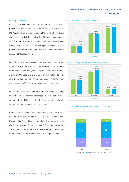#### **Industry Overview**

In 2021, life insurance industry reported a new business premium amounting to 170,664 million Baht, an increase of 8% YoY. However, when considering the ordinary FYP without single premium, it slightly declined by 6% due to the decrease of FYP from ordinary products which included whole-life and saving products. Meanwhile, Renewal year premium and total premium compared to the same period last year increase by 0.3% and 2%, respectively.

For 2021, Industry new business premium was driven by the growth of single premium, which increased by 34% compare to the same period last year. The popular products to drive growth are Universal Life & Unit-Linked which reported a total of 31,805 million baht of FYP, an increase of 178% YoY, and the increase of 49% YoY of individual health rider sales.

For new business premiums by distribution channels during of 2021, Agent channel increased by 5% YoY, which accounted for 33% of total FYP. The proportion slightly decreased from the same period last year.

Bancassurance channel FYP increased by 12% YoY, which accounted for 55% of total FYP. This increase come from Universal Life & Unit-Linked products that were popular sold via Bancassurance. Other channels FYP slightly decline by 2% YoY compared to the same period last year due to the decrease of FYP from Tele marketing and Digital channels.

**Figure 8: Life Insurance Industry Premiums**